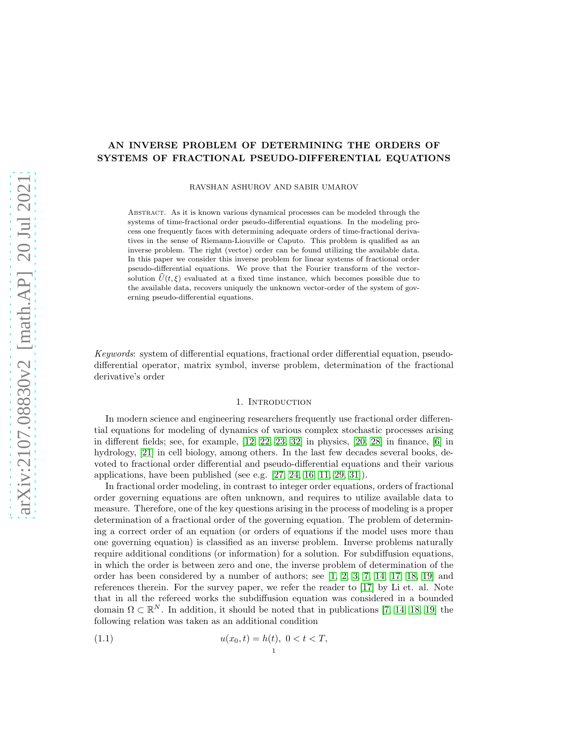# AN INVERSE PROBLEM OF DETERMINING THE ORDERS OF SYSTEMS OF FRACTIONAL PSEUDO-DIFFERENTIAL EQUATIONS

RAVSHAN ASHUROV AND SABIR UMAROV

Abstract. As it is known various dynamical processes can be modeled through the systems of time-fractional order pseudo-differential equations. In the modeling process one frequently faces with determining adequate orders of time-fractional derivatives in the sense of Riemann-Liouville or Caputo. This problem is qualified as an inverse problem. The right (vector) order can be found utilizing the available data. In this paper we consider this inverse problem for linear systems of fractional order pseudo-differential equations. We prove that the Fourier transform of the vectorsolution  $\hat{U}(t, \xi)$  evaluated at a fixed time instance, which becomes possible due to the available data, recovers uniquely the unknown vector-order of the system of governing pseudo-differential equations.

Keywords: system of differential equations, fractional order differential equation, pseudodifferential operator, matrix symbol, inverse problem, determination of the fractional derivative's order

#### 1. INTRODUCTION

In modern science and engineering researchers frequently use fractional order differential equations for modeling of dynamics of various complex stochastic processes arising in different fields; see, for example, [\[12,](#page-13-0) [22,](#page-14-0) [23,](#page-14-1) [32\]](#page-14-2) in physics, [\[20,](#page-13-1) [28\]](#page-14-3) in finance, [\[6\]](#page-13-2) in hydrology, [\[21\]](#page-13-3) in cell biology, among others. In the last few decades several books, devoted to fractional order differential and pseudo-differential equations and their various applications, have been published (see e.g. [\[27,](#page-14-4) [24,](#page-14-5) [16,](#page-13-4) [11,](#page-13-5) [29,](#page-14-6) [31\]](#page-14-7)).

In fractional order modeling, in contrast to integer order equations, orders of fractional order governing equations are often unknown, and requires to utilize available data to measure. Therefore, one of the key questions arising in the process of modeling is a proper determination of a fractional order of the governing equation. The problem of determining a correct order of an equation (or orders of equations if the model uses more than one governing equation) is classified as an inverse problem. Inverse problems naturally require additional conditions (or information) for a solution. For subdiffusion equations, in which the order is between zero and one, the inverse problem of determination of the order has been considered by a number of authors; see [\[1,](#page-13-6) [2,](#page-13-7) [3,](#page-13-8) [7,](#page-13-9) [14,](#page-13-10) [17,](#page-13-11) [18,](#page-13-12) [19\]](#page-13-13) and references therein. For the survey paper, we refer the reader to [\[17\]](#page-13-11) by Li et. al. Note that in all the refereed works the subdiffusion equation was considered in a bounded domain  $\Omega \subset \mathbb{R}^N$ . In addition, it should be noted that in publications [\[7,](#page-13-9) [14,](#page-13-10) [18,](#page-13-12) [19\]](#page-13-13) the following relation was taken as an additional condition

1

$$
(1.1) \t\t u(x_0, t) = h(t), \ 0 < t < T,
$$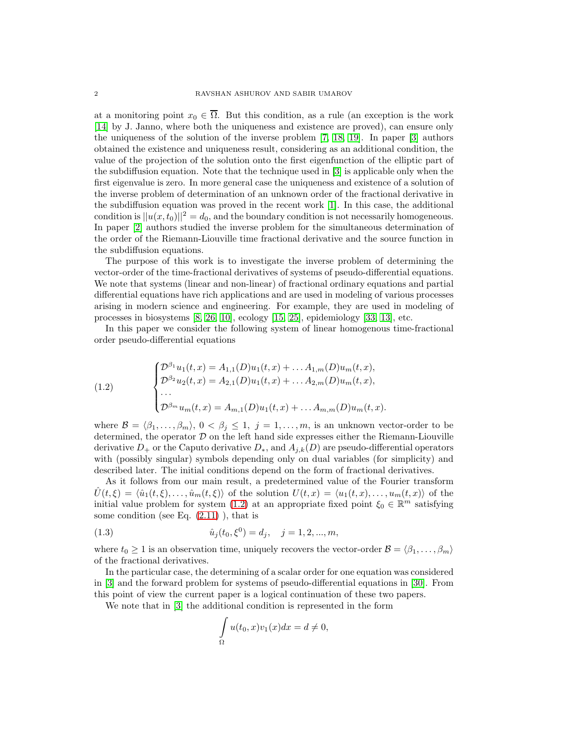at a monitoring point  $x_0 \in \overline{\Omega}$ . But this condition, as a rule (an exception is the work [\[14\]](#page-13-10) by J. Janno, where both the uniqueness and existence are proved), can ensure only the uniqueness of the solution of the inverse problem [\[7,](#page-13-9) [18,](#page-13-12) [19\]](#page-13-13). In paper [\[3\]](#page-13-8) authors obtained the existence and uniqueness result, considering as an additional condition, the value of the projection of the solution onto the first eigenfunction of the elliptic part of the subdiffusion equation. Note that the technique used in [\[3\]](#page-13-8) is applicable only when the first eigenvalue is zero. In more general case the uniqueness and existence of a solution of the inverse problem of determination of an unknown order of the fractional derivative in the subdiffusion equation was proved in the recent work [\[1\]](#page-13-6). In this case, the additional condition is  $||u(x, t_0)||^2 = d_0$ , and the boundary condition is not necessarily homogeneous. In paper [\[2\]](#page-13-7) authors studied the inverse problem for the simultaneous determination of the order of the Riemann-Liouville time fractional derivative and the source function in the subdiffusion equations.

The purpose of this work is to investigate the inverse problem of determining the vector-order of the time-fractional derivatives of systems of pseudo-differential equations. We note that systems (linear and non-linear) of fractional ordinary equations and partial differential equations have rich applications and are used in modeling of various processes arising in modern science and engineering. For example, they are used in modeling of processes in biosystems [\[8,](#page-13-14) [26,](#page-14-8) [10\]](#page-13-15), ecology [\[15,](#page-13-16) [25\]](#page-14-9), epidemiology [\[33,](#page-14-10) [13\]](#page-13-17), etc.

In this paper we consider the following system of linear homogenous time-fractional order pseudo-differential equations

<span id="page-1-0"></span>(1.2) 
$$
\begin{cases} \mathcal{D}^{\beta_1} u_1(t,x) = A_{1,1}(D)u_1(t,x) + \dots A_{1,m}(D)u_m(t,x), \\ \mathcal{D}^{\beta_2} u_2(t,x) = A_{2,1}(D)u_1(t,x) + \dots A_{2,m}(D)u_m(t,x), \\ \dots \\ \mathcal{D}^{\beta_m} u_m(t,x) = A_{m,1}(D)u_1(t,x) + \dots A_{m,m}(D)u_m(t,x). \end{cases}
$$

where  $\mathcal{B} = \langle \beta_1, \ldots, \beta_m \rangle, 0 \langle \beta_j \rangle \leq 1, j = 1, \ldots, m$ , is an unknown vector-order to be determined, the operator  $D$  on the left hand side expresses either the Riemann-Liouville derivative  $D_+$  or the Caputo derivative  $D_*$ , and  $A_{j,k}(D)$  are pseudo-differential operators with (possibly singular) symbols depending only on dual variables (for simplicity) and described later. The initial conditions depend on the form of fractional derivatives.

As it follows from our main result, a predetermined value of the Fourier transform  $U(t,\xi) = \langle \hat{u}_1(t,\xi), \ldots, \hat{u}_m(t,\xi) \rangle$  of the solution  $U(t,x) = \langle u_1(t,x), \ldots, u_m(t,x) \rangle$  of the initial value problem for system [\(1.2\)](#page-1-0) at an appropriate fixed point  $\xi_0 \in \mathbb{R}^m$  satisfying some condition (see Eq.  $(2.11)$ ), that is

(1.3) 
$$
\hat{u}_j(t_0, \xi^0) = d_j, \quad j = 1, 2, ..., m,
$$

where  $t_0 \geq 1$  is an observation time, uniquely recovers the vector-order  $\mathcal{B} = \langle \beta_1, \ldots, \beta_m \rangle$ of the fractional derivatives.

In the particular case, the determining of a scalar order for one equation was considered in [\[3\]](#page-13-8) and the forward problem for systems of pseudo-differential equations in [\[30\]](#page-14-11). From this point of view the current paper is a logical continuation of these two papers.

We note that in [\[3\]](#page-13-8) the additional condition is represented in the form

<span id="page-1-1"></span>
$$
\int_{\Omega} u(t_0, x)v_1(x)dx = d \neq 0,
$$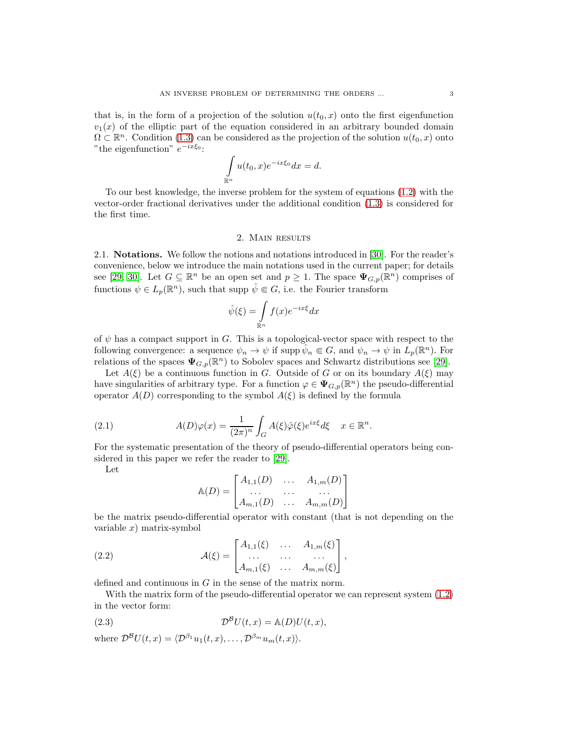that is, in the form of a projection of the solution  $u(t_0, x)$  onto the first eigenfunction  $v_1(x)$  of the elliptic part of the equation considered in an arbitrary bounded domain  $\Omega \subset \mathbb{R}^n$ . Condition [\(1.3\)](#page-1-1) can be considered as the projection of the solution  $u(t_0, x)$  onto " the eigenfunction"  $e^{-ix\xi_0}$ :

$$
\int_{\mathbb{R}^n} u(t_0, x) e^{-ix\xi_0} dx = d.
$$

To our best knowledge, the inverse problem for the system of equations [\(1.2\)](#page-1-0) with the vector-order fractional derivatives under the additional condition [\(1.3\)](#page-1-1) is considered for the first time.

# 2. Main results

2.1. Notations. We follow the notions and notations introduced in [\[30\]](#page-14-11). For the reader's convenience, below we introduce the main notations used in the current paper; for details see [\[29,](#page-14-6) [30\]](#page-14-11). Let  $G \subseteq \mathbb{R}^n$  be an open set and  $p \geq 1$ . The space  $\Psi_{G,p}(\mathbb{R}^n)$  comprises of functions  $\psi \in L_p(\mathbb{R}^n)$ , such that supp  $\hat{\psi} \in G$ , i.e. the Fourier transform

$$
\hat{\psi}(\xi) = \int_{\mathbb{R}^n} f(x)e^{-ix\xi} dx
$$

of  $\psi$  has a compact support in G. This is a topological-vector space with respect to the following convergence: a sequence  $\psi_n \to \psi$  if supp  $\hat{\psi}_n \in G$ , and  $\psi_n \to \psi$  in  $L_p(\mathbb{R}^n)$ . For relations of the spaces  $\Psi_{G,p}(\mathbb{R}^n)$  to Sobolev spaces and Schwartz distributions see [\[29\]](#page-14-6).

Let  $A(\xi)$  be a continuous function in G. Outside of G or on its boundary  $A(\xi)$  may have singularities of arbitrary type. For a function  $\varphi \in \Psi_{G,p}(\mathbb{R}^n)$  the pseudo-differential operator  $A(D)$  corresponding to the symbol  $A(\xi)$  is defined by the formula

(2.1) 
$$
A(D)\varphi(x) = \frac{1}{(2\pi)^n} \int_G A(\xi)\hat{\varphi}(\xi)e^{ix\xi}d\xi \quad x \in \mathbb{R}^n.
$$

For the systematic presentation of the theory of pseudo-differential operators being considered in this paper we refer the reader to [\[29\]](#page-14-6).

Let

$$
\mathbb{A}(D) = \begin{bmatrix} A_{1,1}(D) & \dots & A_{1,m}(D) \\ \dots & \dots & \dots \\ A_{m,1}(D) & \dots & A_{m,m}(D) \end{bmatrix}
$$

be the matrix pseudo-differential operator with constant (that is not depending on the variable  $x$ ) matrix-symbol

(2.2) 
$$
\mathcal{A}(\xi) = \begin{bmatrix} A_{1,1}(\xi) & \dots & A_{1,m}(\xi) \\ \dots & \dots & \dots \\ A_{m,1}(\xi) & \dots & A_{m,m}(\xi) \end{bmatrix},
$$

defined and continuous in G in the sense of the matrix norm.

With the matrix form of the pseudo-differential operator we can represent system  $(1.2)$ in the vector form:

<span id="page-2-0"></span>(2.3) 
$$
\mathcal{D}^{\mathcal{B}}U(t,x) = \mathbb{A}(D)U(t,x),
$$

where  $\mathcal{D}^{\mathcal{B}}U(t, x) = \langle \mathcal{D}^{\beta_1} u_1(t, x), \dots, \mathcal{D}^{\beta_m} u_m(t, x)\rangle$ .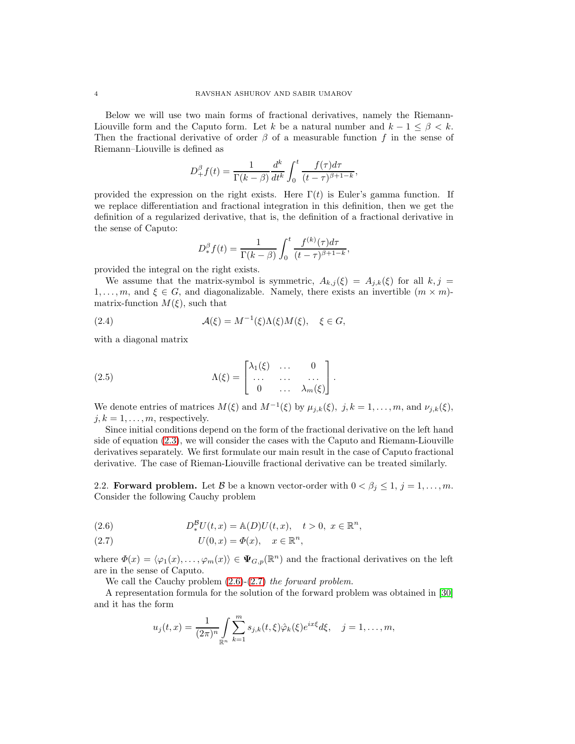Below we will use two main forms of fractional derivatives, namely the Riemann-Liouville form and the Caputo form. Let k be a natural number and  $k - 1 \leq \beta \leq k$ . Then the fractional derivative of order  $\beta$  of a measurable function f in the sense of Riemann–Liouville is defined as

$$
D_{+}^{\beta}f(t) = \frac{1}{\Gamma(k-\beta)}\frac{d^{k}}{dt^{k}}\int_{0}^{t}\frac{f(\tau)d\tau}{(t-\tau)^{\beta+1-k}},
$$

provided the expression on the right exists. Here  $\Gamma(t)$  is Euler's gamma function. If we replace differentiation and fractional integration in this definition, then we get the definition of a regularized derivative, that is, the definition of a fractional derivative in the sense of Caputo:

$$
D_{*}^{\beta}f(t) = \frac{1}{\Gamma(k-\beta)} \int_0^t \frac{f^{(k)}(\tau)d\tau}{(t-\tau)^{\beta+1-k}},
$$

provided the integral on the right exists.

We assume that the matrix-symbol is symmetric,  $A_{k,j}(\xi) = A_{j,k}(\xi)$  for all  $k, j =$  $1, \ldots, m$ , and  $\xi \in G$ , and diagonalizable. Namely, there exists an invertible  $(m \times m)$ matrix-function  $M(\xi)$ , such that

(2.4) 
$$
\mathcal{A}(\xi) = M^{-1}(\xi)\Lambda(\xi)M(\xi), \quad \xi \in G,
$$

with a diagonal matrix

(2.5) 
$$
\Lambda(\xi) = \begin{bmatrix} \lambda_1(\xi) & \dots & 0 \\ \dots & \dots & \dots \\ 0 & \dots & \lambda_m(\xi) \end{bmatrix}.
$$

We denote entries of matrices  $M(\xi)$  and  $M^{-1}(\xi)$  by  $\mu_{j,k}(\xi)$ ,  $j, k = 1, \ldots, m$ , and  $\nu_{j,k}(\xi)$ ,  $j, k = 1, \ldots, m$ , respectively.

Since initial conditions depend on the form of the fractional derivative on the left hand side of equation [\(2.3\)](#page-2-0), we will consider the cases with the Caputo and Riemann-Liouville derivatives separately. We first formulate our main result in the case of Caputo fractional derivative. The case of Rieman-Liouville fractional derivative can be treated similarly.

2.2. Forward problem. Let B be a known vector-order with  $0 < \beta_j \leq 1, j = 1, \ldots, m$ . Consider the following Cauchy problem

<span id="page-3-0"></span>(2.6) 
$$
D_*^{\mathcal{B}}U(t,x) = \mathbb{A}(D)U(t,x), \quad t > 0, \ x \in \mathbb{R}^n,
$$

<span id="page-3-1"></span>(2.7) 
$$
U(0,x) = \Phi(x), \quad x \in \mathbb{R}^n,
$$

where  $\Phi(x) = \langle \varphi_1(x), \ldots, \varphi_m(x) \rangle \in \Psi_{G,p}(\mathbb{R}^n)$  and the fractional derivatives on the left are in the sense of Caputo.

We call the Cauchy problem  $(2.6)-(2.7)$  $(2.6)-(2.7)$  the forward problem.

A representation formula for the solution of the forward problem was obtained in [\[30\]](#page-14-11) and it has the form

$$
u_j(t,x) = \frac{1}{(2\pi)^n} \int_{\mathbb{R}^n} \sum_{k=1}^m s_{j,k}(t,\xi) \hat{\varphi}_k(\xi) e^{ix\xi} d\xi, \quad j = 1,\ldots,m,
$$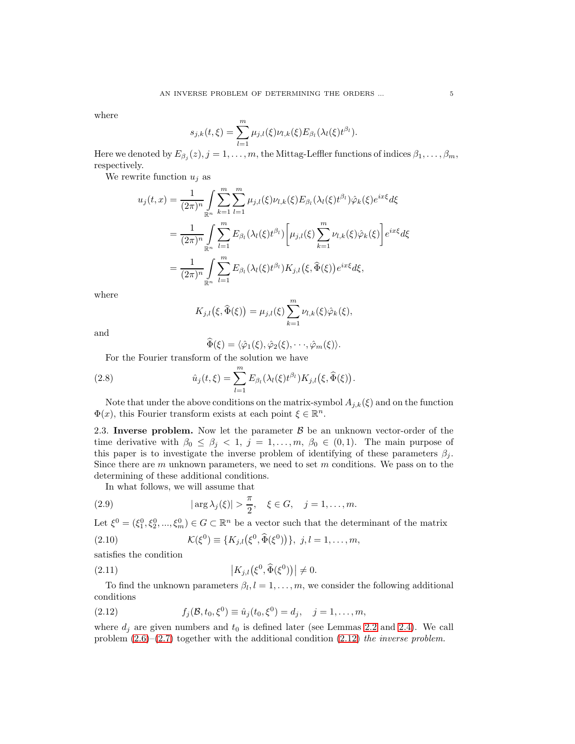where

$$
s_{j,k}(t,\xi) = \sum_{l=1}^{m} \mu_{j,l}(\xi) \nu_{l,k}(\xi) E_{\beta_l}(\lambda_l(\xi) t^{\beta_l}).
$$

Here we denoted by  $E_{\beta_j}(z), j=1,\ldots,m,$  the Mittag-Leffler functions of indices  $\beta_1,\ldots,\beta_m,$ respectively.

We rewrite function  $u_i$  as

$$
u_j(t,x) = \frac{1}{(2\pi)^n} \int_{\mathbb{R}^n} \sum_{k=1}^m \sum_{l=1}^m \mu_{j,l}(\xi) \nu_{l,k}(\xi) E_{\beta_l}(\lambda_l(\xi) t^{\beta_l}) \hat{\varphi}_k(\xi) e^{ix\xi} d\xi
$$
  

$$
= \frac{1}{(2\pi)^n} \int_{\mathbb{R}^n} \sum_{l=1}^m E_{\beta_l}(\lambda_l(\xi) t^{\beta_l}) \left[ \mu_{j,l}(\xi) \sum_{k=1}^m \nu_{l,k}(\xi) \hat{\varphi}_k(\xi) \right] e^{ix\xi} d\xi
$$
  

$$
= \frac{1}{(2\pi)^n} \int_{\mathbb{R}^n} \sum_{l=1}^m E_{\beta_l}(\lambda_l(\xi) t^{\beta_l}) K_{j,l}(\xi, \widehat{\Phi}(\xi)) e^{ix\xi} d\xi,
$$

where

$$
K_{j,l}(\xi,\widehat{\Phi}(\xi))=\mu_{j,l}(\xi)\sum_{k=1}^m\nu_{l,k}(\xi)\hat{\varphi}_k(\xi),
$$

and

<span id="page-4-2"></span>
$$
\widehat{\Phi}(\xi) = \langle \hat{\varphi}_1(\xi), \hat{\varphi}_2(\xi), \cdot \cdot \cdot, \hat{\varphi}_m(\xi) \rangle.
$$

For the Fourier transform of the solution we have

(2.8) 
$$
\hat{u}_j(t,\xi) = \sum_{l=1}^m E_{\beta_l}(\lambda_l(\xi) t^{\beta_l}) K_{j,l}(\xi, \widehat{\Phi}(\xi)).
$$

Note that under the above conditions on the matrix-symbol  $A_{j,k}(\xi)$  and on the function  $\Phi(x)$ , this Fourier transform exists at each point  $\xi \in \mathbb{R}^n$ .

2.3. Inverse problem. Now let the parameter  $\beta$  be an unknown vector-order of the time derivative with  $\beta_0 \leq \beta_j < 1, j = 1, \ldots, m, \beta_0 \in (0, 1)$ . The main purpose of this paper is to investigate the inverse problem of identifying of these parameters  $\beta_j$ . Since there are  $m$  unknown parameters, we need to set  $m$  conditions. We pass on to the determining of these additional conditions.

<span id="page-4-4"></span>In what follows, we will assume that

(2.9) 
$$
|\arg \lambda_j(\xi)| > \frac{\pi}{2}, \quad \xi \in G, \quad j = 1, ..., m.
$$

Let  $\xi^0 = (\xi_1^0, \xi_2^0, ..., \xi_m^0) \in G \subset \mathbb{R}^n$  be a vector such that the determinant of the matrix

<span id="page-4-3"></span>(2.10) 
$$
\mathcal{K}(\xi^0) \equiv \{K_{j,l}(\xi^0, \widehat{\Phi}(\xi^0))\}, \ j, l = 1, ..., m,
$$

satisfies the condition

<span id="page-4-0"></span>
$$
(2.11) \t\t\t |K_{j,l}(\xi^0,\widehat{\Phi}(\xi^0))| \neq 0.
$$

To find the unknown parameters  $\beta_l, l = 1, \ldots, m$ , we consider the following additional conditions

<span id="page-4-1"></span>(2.12) 
$$
f_j(\mathcal{B}, t_0, \xi^0) \equiv \hat{u}_j(t_0, \xi^0) = d_j, \quad j = 1, ..., m,
$$

where  $d_j$  are given numbers and  $t_0$  is defined later (see Lemmas [2.2](#page-6-0) and [2.4\)](#page-7-0). We call problem  $(2.6)$ – $(2.7)$  together with the additional condition  $(2.12)$  the inverse problem.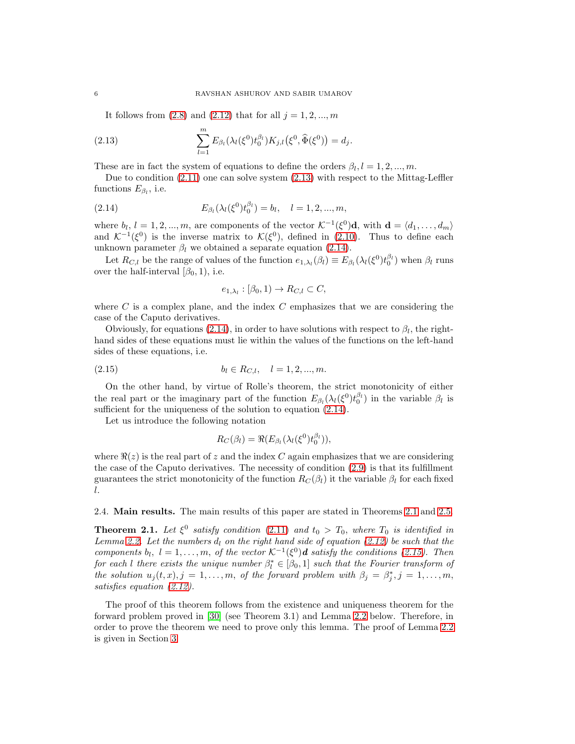<span id="page-5-0"></span>It follows from  $(2.8)$  and  $(2.12)$  that for all  $j = 1, 2, ..., m$ 

(2.13) 
$$
\sum_{l=1}^{m} E_{\beta_l}(\lambda_l(\xi^0)t_0^{\beta_l})K_{j,l}(\xi^0,\widehat{\Phi}(\xi^0)) = d_j.
$$

These are in fact the system of equations to define the orders  $\beta_l, l = 1, 2, ..., m$ .

Due to condition [\(2.11\)](#page-4-0) one can solve system [\(2.13\)](#page-5-0) with respect to the Mittag-Leffler functions  $E_{\beta_l}$ , i.e.

(2.14) 
$$
E_{\beta_l}(\lambda_l(\xi^0)t_0^{\beta_l}) = b_l, \quad l = 1, 2, ..., m,
$$

where  $b_l$ ,  $l = 1, 2, ..., m$ , are components of the vector  $\mathcal{K}^{-1}(\xi^0) \mathbf{d}$ , with  $\mathbf{d} = \langle d_1, ..., d_m \rangle$ and  $\mathcal{K}^{-1}(\xi^0)$  is the inverse matrix to  $\mathcal{K}(\xi^0)$ , defined in [\(2.10\)](#page-4-3). Thus to define each unknown parameter  $\beta_l$  we obtained a separate equation [\(2.14\)](#page-5-1).

Let  $R_{C,l}$  be the range of values of the function  $e_{1,\lambda_l}(\beta_l) \equiv E_{\beta_l}(\lambda_l(\xi^0) t_0^{\beta_l})$  when  $\beta_l$  runs over the half-interval  $[\beta_0, 1)$ , i.e.

<span id="page-5-1"></span>
$$
e_{1,\lambda_l} : [\beta_0, 1) \to R_{C,l} \subset C,
$$

where  $C$  is a complex plane, and the index  $C$  emphasizes that we are considering the case of the Caputo derivatives.

Obviously, for equations [\(2.14\)](#page-5-1), in order to have solutions with respect to  $\beta_l$ , the righthand sides of these equations must lie within the values of the functions on the left-hand sides of these equations, i.e.

$$
(2.15) \t\t bl \in RC,l, \t l = 1, 2, ..., m.
$$

On the other hand, by virtue of Rolle's theorem, the strict monotonicity of either the real part or the imaginary part of the function  $E_{\beta_l}(\lambda_l(\xi^0)t_0^{\beta_l})$  in the variable  $\beta_l$  is sufficient for the uniqueness of the solution to equation [\(2.14\)](#page-5-1).

Let us introduce the following notation

<span id="page-5-3"></span>
$$
R_C(\beta_l) = \Re(E_{\beta_l}(\lambda_l(\xi^0)t_0^{\beta_l})),
$$

where  $\Re(z)$  is the real part of z and the index C again emphasizes that we are considering the case of the Caputo derivatives. The necessity of condition [\(2.9\)](#page-4-4) is that its fulfillment guarantees the strict monotonicity of the function  $R_C(\beta_l)$  it the variable  $\beta_l$  for each fixed l.

2.4. Main results. The main results of this paper are stated in Theorems [2.1](#page-5-2) and [2.5.](#page-7-1)

<span id="page-5-2"></span>**Theorem 2.1.** Let  $\xi^0$  satisfy condition [\(2.11\)](#page-4-0) and  $t_0 > T_0$ , where  $T_0$  is identified in Lemma [2.2.](#page-6-0) Let the numbers  $d_l$  on the right hand side of equation [\(2.12\)](#page-4-1) be such that the components  $b_l$ ,  $l = 1, \ldots, m$ , of the vector  $K^{-1}(\xi^0)$ **d** satisfy the conditions [\(2.15\)](#page-5-3). Then for each l there exists the unique number  $\beta_l^* \in [\beta_0, 1]$  such that the Fourier transform of the solution  $u_j(t, x), j = 1, ..., m$ , of the forward problem with  $\beta_j = \beta_j^*, j = 1, ..., m$ , satisfies equation [\(2.12\)](#page-4-1).

The proof of this theorem follows from the existence and uniqueness theorem for the forward problem proved in [\[30\]](#page-14-11) (see Theorem 3.1) and Lemma [2.2](#page-6-0) below. Therefore, in order to prove the theorem we need to prove only this lemma. The proof of Lemma [2.2](#page-6-0) is given in Section [3.](#page-7-2)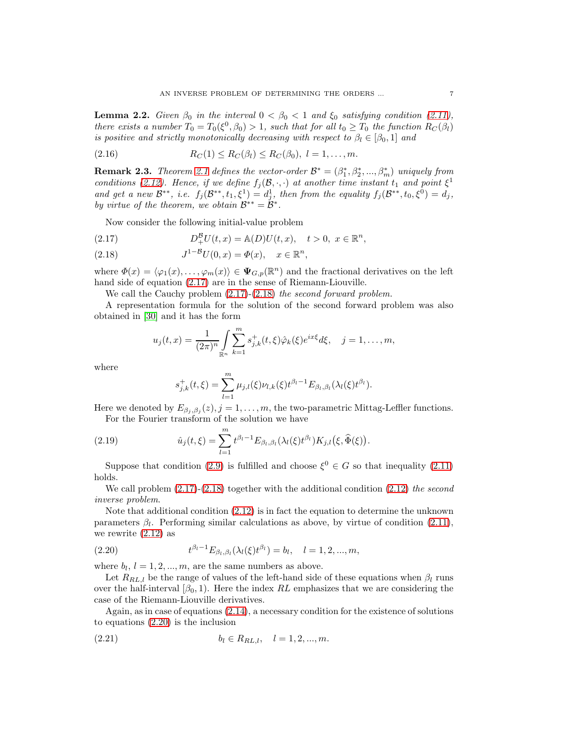<span id="page-6-0"></span>**Lemma 2.2.** Given  $\beta_0$  in the interval  $0 < \beta_0 < 1$  and  $\xi_0$  satisfying condition [\(2.11\)](#page-4-0), there exists a number  $T_0 = T_0(\xi^0, \beta_0) > 1$ , such that for all  $t_0 \geq T_0$  the function  $R_C(\beta_l)$ is positive and strictly monotonically decreasing with respect to  $\beta_l \in [\beta_0, 1]$  and

(2.16) 
$$
R_C(1) \le R_C(\beta_l) \le R_C(\beta_0), \ l = 1, ..., m.
$$

<span id="page-6-5"></span>**Remark 2.3.** Theorem [2.1](#page-5-2) defines the vector-order  $\mathcal{B}^* = (\beta_1^*, \beta_2^*, ..., \beta_m^*)$  uniquely from conditions [\(2.12\)](#page-4-1). Hence, if we define  $f_j(\mathcal{B}, \cdot, \cdot)$  at another time instant  $t_1$  and point  $\xi^1$ and get a new  $\mathcal{B}^{**}$ , i.e.  $f_j(\mathcal{B}^{**}, t_1, \xi^1) = d_j^1$ , then from the equality  $f_j(\mathcal{B}^{**}, t_0, \xi^0) = d_j$ , by virtue of the theorem, we obtain  $\mathcal{B}^{**} = \mathcal{B}^*$ .

Now consider the following initial-value problem

<span id="page-6-1"></span>(2.17) 
$$
D_{+}^{B}U(t,x) = \mathbb{A}(D)U(t,x), \quad t > 0, \ x \in \mathbb{R}^{n},
$$

<span id="page-6-2"></span>(2.18) 
$$
J^{1-B}U(0, x) = \Phi(x), \quad x \in \mathbb{R}^n,
$$

where  $\Phi(x) = \langle \varphi_1(x), \ldots, \varphi_m(x) \rangle \in \Psi_{G,p}(\mathbb{R}^n)$  and the fractional derivatives on the left hand side of equation [\(2.17\)](#page-6-1) are in the sense of Riemann-Liouville.

We call the Cauchy problem  $(2.17)-(2.18)$  $(2.17)-(2.18)$  the second forward problem.

A representation formula for the solution of the second forward problem was also obtained in [\[30\]](#page-14-11) and it has the form

$$
u_j(t,x) = \frac{1}{(2\pi)^n} \int_{\mathbb{R}^n} \sum_{k=1}^m s_{j,k}^+(t,\xi) \hat{\varphi}_k(\xi) e^{ix\xi} d\xi, \quad j = 1, \dots, m,
$$

where

$$
s_{j,k}^+(t,\xi) = \sum_{l=1}^m \mu_{j,l}(\xi) \nu_{l,k}(\xi) t^{\beta_l - 1} E_{\beta_l, \beta_l}(\lambda_l(\xi) t^{\beta_l}).
$$

Here we denoted by  $E_{\beta_j,\beta_j}(z), j=1,\ldots,m$ , the two-parametric Mittag-Leffler functions. For the Fourier transform of the solution we have

(2.19) 
$$
\hat{u}_j(t,\xi) = \sum_{l=1}^m t^{\beta_l - 1} E_{\beta_l, \beta_l}(\lambda_l(\xi) t^{\beta_l}) K_{j,l}(\xi, \widehat{\Phi}(\xi)).
$$

Suppose that condition [\(2.9\)](#page-4-4) is fulfilled and choose  $\xi^0 \in G$  so that inequality [\(2.11\)](#page-4-0) holds.

We call problem  $(2.17)-(2.18)$  $(2.17)-(2.18)$  together with the additional condition  $(2.12)$  the second inverse problem.

Note that additional condition [\(2.12\)](#page-4-1) is in fact the equation to determine the unknown parameters  $\beta_l$ . Performing similar calculations as above, by virtue of condition [\(2.11\)](#page-4-0), we rewrite [\(2.12\)](#page-4-1) as

<span id="page-6-3"></span>(2.20) 
$$
t^{\beta_l - 1} E_{\beta_l, \beta_l}(\lambda_l(\xi) t^{\beta_l}) = b_l, \quad l = 1, 2, ..., m,
$$

where  $b_l$ ,  $l = 1, 2, ..., m$ , are the same numbers as above.

Let  $R_{RL,l}$  be the range of values of the left-hand side of these equations when  $\beta_l$  runs over the half-interval  $(\beta_0, 1)$ . Here the index RL emphasizes that we are considering the case of the Riemann-Liouville derivatives.

Again, as in case of equations [\(2.14\)](#page-5-1), a necessary condition for the existence of solutions to equations [\(2.20\)](#page-6-3) is the inclusion

<span id="page-6-4"></span>
$$
(2.21) \t\t b_l \in R_{RL,l}, \quad l = 1, 2, ..., m.
$$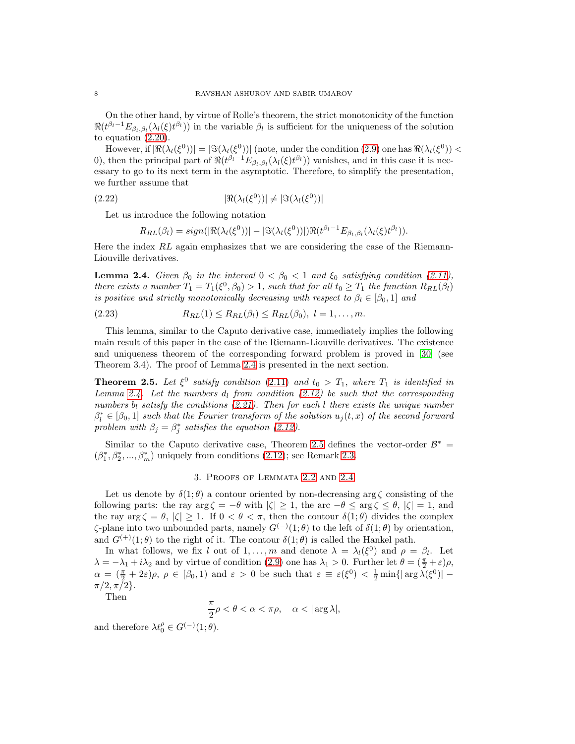On the other hand, by virtue of Rolle's theorem, the strict monotonicity of the function  $\Re(t^{\beta_l-1}E_{\beta_l,\beta_l}(\lambda_l(\xi)t^{\beta_l}))$  in the variable  $\beta_l$  is sufficient for the uniqueness of the solution to equation [\(2.20\)](#page-6-3).

However, if  $|\Re(\lambda_l(\xi^0))|=|\Im(\lambda_l(\xi^0))|$  (note, under the condition  $(2.9)$  one has  $\Re(\lambda_l(\xi^0))<$ 0), then the principal part of  $\Re(t^{\beta_l-1}E_{\beta_l,\beta_l}(\lambda_l(\xi)t^{\beta_l}))$  vanishes, and in this case it is necessary to go to its next term in the asymptotic. Therefore, to simplify the presentation, we further assume that

$$
|\Re(\lambda_l(\xi^0))| \neq |\Im(\lambda_l(\xi^0))|
$$

Let us introduce the following notation

$$
R_{RL}(\beta_l) = sign(|\Re(\lambda_l(\xi^0))| - |\Im(\lambda_l(\xi^0))|)\Re(t^{\beta_l-1}E_{\beta_l,\beta_l}(\lambda_l(\xi)t^{\beta_l})).
$$

Here the index RL again emphasizes that we are considering the case of the Riemann-Liouville derivatives.

<span id="page-7-0"></span>**Lemma 2.4.** Given  $\beta_0$  in the interval  $0 < \beta_0 < 1$  and  $\xi_0$  satisfying condition [\(2.11\)](#page-4-0), there exists a number  $T_1 = T_1(\xi^0, \beta_0) > 1$ , such that for all  $t_0 \geq T_1$  the function  $R_{RL}(\beta_l)$ is positive and strictly monotonically decreasing with respect to  $\beta_l \in [\beta_0, 1]$  and

(2.23) 
$$
R_{RL}(1) \le R_{RL}(\beta_l) \le R_{RL}(\beta_0), \ l = 1, ..., m.
$$

This lemma, similar to the Caputo derivative case, immediately implies the following main result of this paper in the case of the Riemann-Liouville derivatives. The existence and uniqueness theorem of the corresponding forward problem is proved in [\[30\]](#page-14-11) (see Theorem 3.4). The proof of Lemma [2.4](#page-7-0) is presented in the next section.

<span id="page-7-1"></span>**Theorem 2.5.** Let  $\xi^0$  satisfy condition [\(2.11\)](#page-4-0) and  $t_0 > T_1$ , where  $T_1$  is identified in Lemma [2.4.](#page-7-0) Let the numbers  $d_l$  from condition [\(2.12\)](#page-4-1) be such that the corresponding numbers  $b_l$  satisfy the conditions [\(2.21\)](#page-6-4). Then for each l there exists the unique number  $\beta_l^* \in [\beta_0, 1]$  such that the Fourier transform of the solution  $u_j(t, x)$  of the second forward problem with  $\beta_j = \beta_j^*$  satisfies the equation [\(2.12\)](#page-4-1).

<span id="page-7-2"></span>Similar to the Caputo derivative case, Theorem [2.5](#page-7-1) defines the vector-order  $\mathcal{B}^*$  =  $(\beta_1^*, \beta_2^*, ..., \beta_m^*)$  uniquely from conditions [\(2.12\)](#page-4-1); see Remark [2.3.](#page-6-5)

### 3. Proofs of Lemmata [2.2](#page-6-0) and [2.4](#page-7-0)

Let us denote by  $\delta(1;\theta)$  a contour oriented by non-decreasing arg  $\zeta$  consisting of the following parts: the ray  $\arg \zeta = -\theta$  with  $|\zeta| \geq 1$ , the arc  $-\theta \leq \arg \zeta \leq \theta$ ,  $|\zeta| = 1$ , and the ray  $\arg \zeta = \theta$ ,  $|\zeta| \geq 1$ . If  $0 < \theta < \pi$ , then the contour  $\delta(1;\theta)$  divides the complex  $\zeta$ -plane into two unbounded parts, namely  $G^{(-)}(1;\theta)$  to the left of  $\delta(1;\theta)$  by orientation, and  $G^{(+)}(1;\theta)$  to the right of it. The contour  $\delta(1;\theta)$  is called the Hankel path.

In what follows, we fix l out of 1,..., m and denote  $\lambda = \lambda_l(\xi^0)$  and  $\rho = \beta_l$ . Let  $\lambda = -\lambda_1 + i\lambda_2$  and by virtue of condition [\(2.9\)](#page-4-4) one has  $\lambda_1 > 0$ . Further let  $\theta = (\frac{\pi}{2} + \varepsilon)\rho$ ,  $\alpha = (\frac{\pi}{2} + 2\varepsilon)\rho, \ \rho \in [\beta_0, 1]$  and  $\varepsilon > 0$  be such that  $\varepsilon \equiv \varepsilon(\xi^0) < \frac{1}{2} \min\{|\arg \lambda(\xi^0)| \pi/2, \pi/2$ .

Then

$$
\frac{\pi}{2}\rho<\theta<\alpha<\pi\rho,\quad \alpha<|\arg\lambda|,
$$

and therefore  $\lambda t_0^{\rho} \in G^{(-)}(1;\theta)$ .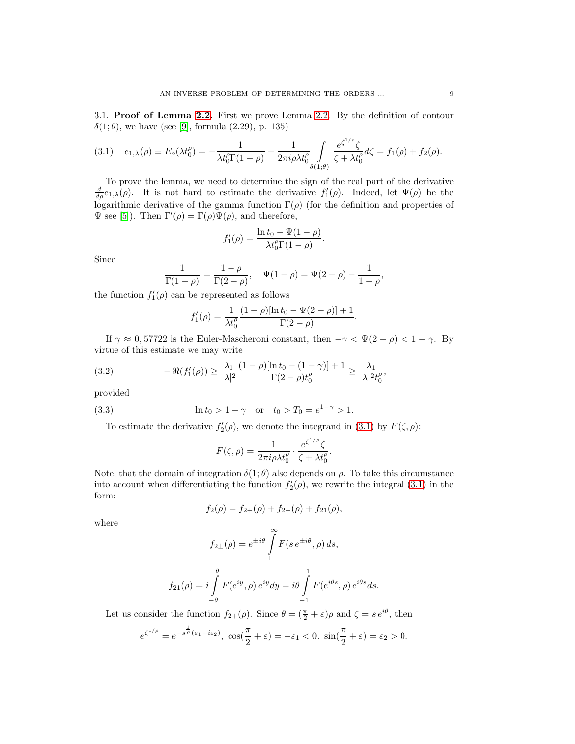3.1. Proof of Lemma [2.2.](#page-6-0) First we prove Lemma [2.2.](#page-6-0) By the definition of contour  $δ(1; θ)$ , we have (see [\[9\]](#page-13-18), formula (2.29), p. 135)

<span id="page-8-0"></span>
$$
(3.1) \quad e_{1,\lambda}(\rho) \equiv E_{\rho}(\lambda t_0^{\rho}) = -\frac{1}{\lambda t_0^{\rho} \Gamma(1-\rho)} + \frac{1}{2\pi i \rho \lambda t_0^{\rho}} \int_{\delta(1;\theta)} \frac{e^{\zeta^{1/\rho}} \zeta}{\zeta + \lambda t_0^{\rho}} d\zeta = f_1(\rho) + f_2(\rho).
$$

To prove the lemma, we need to determine the sign of the real part of the derivative  $\frac{d}{d\rho}e_{1,\lambda}(\rho)$ . It is not hard to estimate the derivative  $f'_{1}(\rho)$ . Indeed, let  $\Psi(\rho)$  be the logarithmic derivative of the gamma function  $\Gamma(\rho)$  (for the definition and properties of  $\Psi$  see [\[5\]](#page-13-19)). Then  $\Gamma'(\rho) = \Gamma(\rho)\Psi(\rho)$ , and therefore,

$$
f_1'(\rho) = \frac{\ln t_0 - \Psi(1 - \rho)}{\lambda t_0^{\rho} \Gamma(1 - \rho)}.
$$

Since

$$
\frac{1}{\Gamma(1-\rho)} = \frac{1-\rho}{\Gamma(2-\rho)}, \quad \Psi(1-\rho) = \Psi(2-\rho) - \frac{1}{1-\rho},
$$

the function  $f'_{1}(\rho)$  can be represented as follows

<span id="page-8-1"></span>
$$
f_1'(\rho) = \frac{1}{\lambda t_0^{\rho}} \frac{(1-\rho)[\ln t_0 - \Psi(2-\rho)] + 1}{\Gamma(2-\rho)}.
$$

If  $\gamma \approx 0,57722$  is the Euler-Mascheroni constant, then  $-\gamma < \Psi(2-\rho) < 1-\gamma$ . By virtue of this estimate we may write

(3.2) 
$$
-\Re(f'_1(\rho)) \ge \frac{\lambda_1}{|\lambda|^2} \frac{(1-\rho)[\ln t_0 - (1-\gamma)] + 1}{\Gamma(2-\rho)t_0^{\rho}} \ge \frac{\lambda_1}{|\lambda|^2 t_0^{\rho}},
$$

provided

(3.3) 
$$
\ln t_0 > 1 - \gamma \quad \text{or} \quad t_0 > T_0 = e^{1 - \gamma} > 1.
$$

To estimate the derivative  $f'_{2}(\rho)$ , we denote the integrand in [\(3.1\)](#page-8-0) by  $F(\zeta, \rho)$ :

<span id="page-8-2"></span>
$$
F(\zeta,\rho)=\frac{1}{2\pi i\rho\lambda t_0^\rho}\cdot\frac{e^{\zeta^{1/\rho}}\zeta}{\zeta+\lambda t_0^\rho}.
$$

Note, that the domain of integration  $\delta(1;\theta)$  also depends on  $\rho$ . To take this circumstance into account when differentiating the function  $f'_{2}(\rho)$ , we rewrite the integral [\(3.1\)](#page-8-0) in the form:

$$
f_2(\rho) = f_{2+}(\rho) + f_{2-}(\rho) + f_{21}(\rho),
$$

where

$$
f_{2\pm}(\rho) = e^{\pm i\theta} \int_{1}^{\infty} F(s e^{\pm i\theta}, \rho) ds,
$$

$$
f_{21}(\rho) = i \int_{-\theta}^{\theta} F(e^{iy}, \rho) e^{iy} dy = i \theta \int_{-1}^{1} F(e^{i\theta s}, \rho) e^{i\theta s} ds.
$$

Let us consider the function  $f_{2+}(\rho)$ . Since  $\theta = (\frac{\pi}{2} + \varepsilon)\rho$  and  $\zeta = s e^{i\theta}$ , then

$$
e^{\zeta^{1/\rho}} = e^{-s^{\frac{1}{\rho}}(\varepsilon_1 - i\varepsilon_2)}, \cos(\frac{\pi}{2} + \varepsilon) = -\varepsilon_1 < 0. \sin(\frac{\pi}{2} + \varepsilon) = \varepsilon_2 > 0.
$$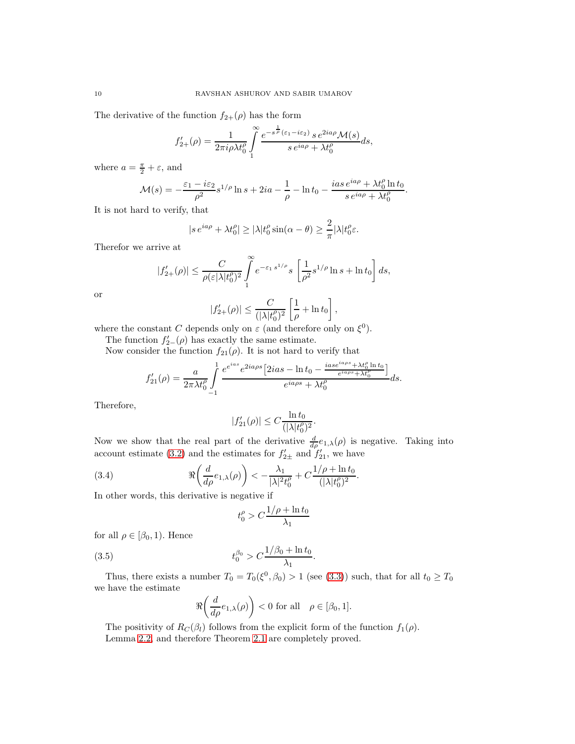The derivative of the function  $f_{2+}(\rho)$  has the form

$$
f'_{2+}(\rho) = \frac{1}{2\pi i\rho\lambda t_0^{\rho}} \int\limits_1^{\infty} \frac{e^{-s^{\frac{1}{\rho}}(\varepsilon_1 - i\varepsilon_2)} s \, e^{2ia\rho} \mathcal{M}(s)}{s \, e^{ia\rho} + \lambda t_0^{\rho}} ds,
$$

where  $a = \frac{\pi}{2} + \varepsilon$ , and

$$
\mathcal{M}(s) = -\frac{\varepsilon_1 - i\varepsilon_2}{\rho^2} s^{1/\rho} \ln s + 2ia - \frac{1}{\rho} - \ln t_0 - \frac{ias e^{ia\rho} + \lambda t_0^{\rho} \ln t_0}{s e^{ia\rho} + \lambda t_0^{\rho}}.
$$

It is not hard to verify, that

$$
|s e^{ia\rho} + \lambda t_0^{\rho}| \ge |\lambda| t_0^{\rho} \sin(\alpha - \theta) \ge \frac{2}{\pi} |\lambda| t_0^{\rho} \varepsilon.
$$

Therefor we arrive at

$$
|f'_{2+}(\rho)| \leq \frac{C}{\rho(\varepsilon|\lambda|t_0^{\rho})^2} \int_{1}^{\infty} e^{-\varepsilon_1 s^{1/\rho}} s \left[ \frac{1}{\rho^2} s^{1/\rho} \ln s + \ln t_0 \right] ds,
$$
  

$$
|f'_{2+}(\rho)| \leq \frac{C}{(|\lambda|t_0^{\rho})^2} \left[ \frac{1}{\rho} + \ln t_0 \right],
$$

or

$$
|f'_{2+}(\rho)| \leq \frac{C}{(|\lambda|t_0^{\rho})^2} \left[\frac{1}{\rho} + \ln t_0\right],
$$

where the constant C depends only on  $\varepsilon$  (and therefore only on  $\xi^0$ ).

The function  $f'_{2-}(\rho)$  has exactly the same estimate.

Now consider the function  $f_{21}(\rho)$ . It is not hard to verify that

$$
f'_{21}(\rho) = \frac{a}{2\pi\lambda t_0^{\rho}} \int\limits_{-1}^1 \frac{e^{e^{ias}} e^{2ia\rho s} \left[2ias - \ln t_0 - \frac{ias e^{ia\rho s} + \lambda t_0^{\rho} \ln t_0}{e^{ia\rho s} + \lambda t_0^{\rho}}\right]}{e^{ia\rho s} + \lambda t_0^{\rho}} ds.
$$

Therefore,

$$
|f'_{21}(\rho)| \leq C \frac{\ln t_0}{(|\lambda| t_0^{\rho})^2}.
$$

Now we show that the real part of the derivative  $\frac{d}{d\rho}e_{1,\lambda}(\rho)$  is negative. Taking into account estimate [\(3.2\)](#page-8-1) and the estimates for  $f'_{2\pm}$  and  $f'_{21}$ , we have

.

(3.4) 
$$
\Re\left(\frac{d}{d\rho}e_{1,\lambda}(\rho)\right) < -\frac{\lambda_1}{|\lambda|^2 t_0^{\rho}} + C\frac{1/\rho + \ln t_0}{(|\lambda| t_0^{\rho})^2}
$$

In other words, this derivative is negative if

$$
t_0^\rho>C\frac{1/\rho+\ln t_0}{\lambda_1}
$$

for all  $\rho \in [\beta_0, 1)$ . Hence

(3.5) 
$$
t_0^{\beta_0} > C \frac{1/\beta_0 + \ln t_0}{\lambda_1}.
$$

Thus, there exists a number  $T_0 = T_0(\xi^0, \beta_0) > 1$  (see [\(3.3\)](#page-8-2)) such, that for all  $t_0 \ge T_0$ we have the estimate

$$
\Re\left(\frac{d}{d\rho}e_{1,\lambda}(\rho)\right) < 0 \text{ for all } \rho \in [\beta_0, 1].
$$

The positivity of  $R_C(\beta_l)$  follows from the explicit form of the function  $f_1(\rho)$ . Lemma [2.2,](#page-6-0) and therefore Theorem [2.1](#page-5-2) are completely proved.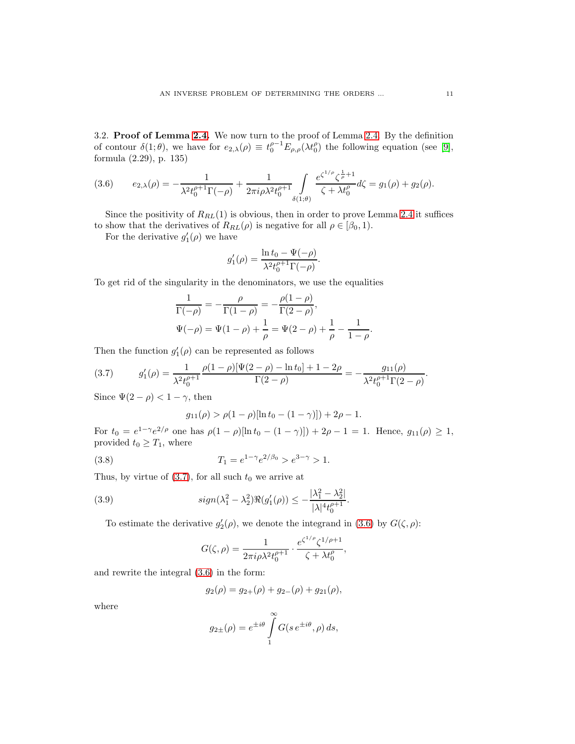3.2. Proof of Lemma [2.4.](#page-7-0) We now turn to the proof of Lemma [2.4.](#page-7-0) By the definition of contour  $\delta(1;\theta)$ , we have for  $e_{2,\lambda}(\rho) \equiv t_0^{\rho-1} E_{\rho,\rho}(\lambda t_0^{\rho})$  the following equation (see [\[9\]](#page-13-18), formula (2.29), p. 135)

<span id="page-10-1"></span>(3.6) 
$$
e_{2,\lambda}(\rho) = -\frac{1}{\lambda^2 t_0^{\rho+1} \Gamma(-\rho)} + \frac{1}{2\pi i \rho \lambda^2 t_0^{\rho+1}} \int_{\delta(1;\theta)} \frac{e^{\zeta^{1/\rho}} \zeta^{\frac{1}{\rho}+1}}{\zeta + \lambda t_0^{\rho}} d\zeta = g_1(\rho) + g_2(\rho).
$$

Since the positivity of  $R_{RL}(1)$  is obvious, then in order to prove Lemma [2.4](#page-7-0) it suffices to show that the derivatives of  $R_{RL}(\rho)$  is negative for all  $\rho \in [\beta_0, 1)$ .

For the derivative  $g'_1(\rho)$  we have

$$
g'_1(\rho) = \frac{\ln t_0 - \Psi(-\rho)}{\lambda^2 t_0^{\rho+1} \Gamma(-\rho)}.
$$

To get rid of the singularity in the denominators, we use the equalities

$$
\frac{1}{\Gamma(-\rho)} = -\frac{\rho}{\Gamma(1-\rho)} = -\frac{\rho(1-\rho)}{\Gamma(2-\rho)}, \n\Psi(-\rho) = \Psi(1-\rho) + \frac{1}{\rho} = \Psi(2-\rho) + \frac{1}{\rho} - \frac{1}{1-\rho}.
$$

Then the function  $g'_1(\rho)$  can be represented as follows

<span id="page-10-0"></span>(3.7) 
$$
g'_1(\rho) = \frac{1}{\lambda^2 t_0^{\rho+1}} \frac{\rho(1-\rho)[\Psi(2-\rho) - \ln t_0] + 1 - 2\rho}{\Gamma(2-\rho)} = -\frac{g_{11}(\rho)}{\lambda^2 t_0^{\rho+1} \Gamma(2-\rho)}.
$$

Since  $\Psi(2-\rho) < 1-\gamma$ , then

<span id="page-10-3"></span>
$$
g_{11}(\rho) > \rho(1-\rho)[\ln t_0 - (1-\gamma)]) + 2\rho - 1.
$$

For  $t_0 = e^{1-\gamma}e^{2/\rho}$  one has  $\rho(1-\rho)[\ln t_0 - (1-\gamma)]) + 2\rho - 1 = 1$ . Hence,  $g_{11}(\rho) \ge 1$ , provided  $t_0 \geq T_1$ , where

(3.8) 
$$
T_1 = e^{1-\gamma} e^{2/\beta_0} > e^{3-\gamma} > 1.
$$

Thus, by virtue of  $(3.7)$ , for all such  $t_0$  we arrive at

(3.9) 
$$
sign(\lambda_1^2 - \lambda_2^2) \Re(g'_1(\rho)) \le -\frac{|\lambda_1^2 - \lambda_2^2|}{|\lambda|^4 t_0^{\rho+1}}.
$$

To estimate the derivative  $g'_2(\rho)$ , we denote the integrand in [\(3.6\)](#page-10-1) by  $G(\zeta, \rho)$ :

<span id="page-10-2"></span>
$$
G(\zeta,\rho)=\frac{1}{2\pi i\rho\lambda^2t_0^{\rho+1}}\cdot\frac{e^{\zeta^{1/\rho}}\zeta^{1/\rho+1}}{\zeta+\lambda t_0^{\rho}},
$$

and rewrite the integral [\(3.6\)](#page-10-1) in the form:

$$
g_2(\rho) = g_{2+}(\rho) + g_{2-}(\rho) + g_{21}(\rho),
$$

where

$$
g_{2\pm}(\rho) = e^{\pm i\theta} \int\limits_{1}^{\infty} G(s \, e^{\pm i\theta}, \rho) \, ds,
$$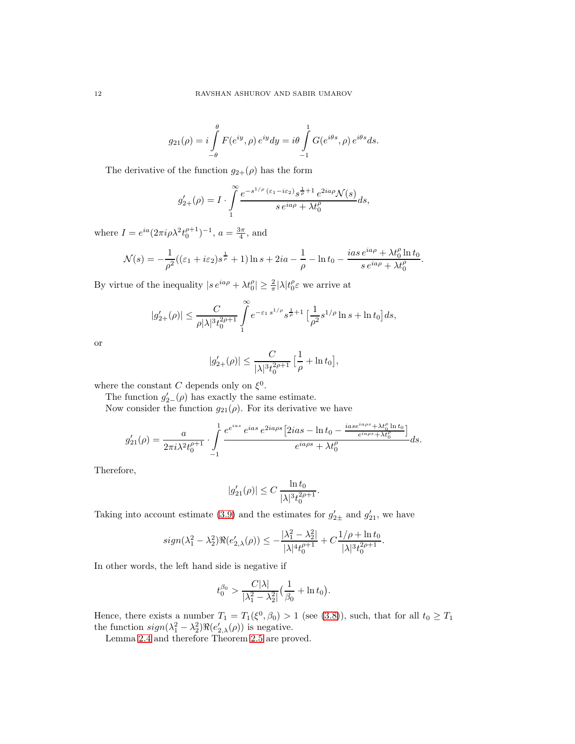$$
g_{21}(\rho) = i \int\limits_{-\theta}^{\theta} F(e^{iy}, \rho) e^{iy} dy = i \theta \int\limits_{-1}^{1} G(e^{i\theta s}, \rho) e^{i\theta s} ds.
$$

The derivative of the function  $g_{2+}(\rho)$  has the form

$$
g'_{2+}(\rho) = I \cdot \int_{1}^{\infty} \frac{e^{-s^{1/\rho}(\varepsilon_1 - i\varepsilon_2)} s^{\frac{1}{\rho} + 1} e^{2ia\rho} \mathcal{N}(s)}{s e^{ia\rho} + \lambda t_0^{\rho}} ds,
$$

where  $I = e^{ia}(2\pi i \rho \lambda^2 t_0^{\rho+1})^{-1}$ ,  $a = \frac{3\pi}{4}$ , and

$$
\mathcal{N}(s) = -\frac{1}{\rho^2}((\varepsilon_1 + i\varepsilon_2)s^{\frac{1}{\rho}} + 1)\ln s + 2ia - \frac{1}{\rho} - \ln t_0 - \frac{ias\,e^{ia\rho} + \lambda t_0^{\rho}\ln t_0}{s\,e^{ia\rho} + \lambda t_0^{\rho}}.
$$

By virtue of the inequality  $|s e^{ia\rho} + \lambda t_0^{\rho}| \geq \frac{2}{\pi} |\lambda| t_0^{\rho} \varepsilon$  we arrive at

$$
|g_{2+}'(\rho)| \leq \frac{C}{\rho |\lambda|^{3} t_0^{2\rho+1}} \int_{1}^{\infty} e^{-\varepsilon_1 s^{1/\rho}} s^{\frac{1}{\rho}+1} \left[ \frac{1}{\rho^2} s^{1/\rho} \ln s + \ln t_0 \right] ds,
$$

or

$$
|g'_{2+}(\rho)| \leq \frac{C}{|\lambda|^3 t_0^{2\rho+1}} \Big[\frac{1}{\rho} + \ln t_0\Big],
$$

where the constant C depends only on  $\xi^0$ .

The function  $g'_{2-}(\rho)$  has exactly the same estimate.

Now consider the function  $g_{21}(\rho)$ . For its derivative we have

$$
g'_{21}(\rho) = \frac{a}{2\pi i \lambda^2 t_0^{\rho+1}} \cdot \int\limits_{-1}^1 \frac{e^{e^{ias}} e^{ias} e^{2ia\rho s} \left[2ias - \ln t_0 - \frac{ias e^{ia\rho s} + \lambda t_0^{\rho} \ln t_0}{e^{ia\rho s} + \lambda t_0^{\rho}}\right]}{e^{ia\rho s} + \lambda t_0^{\rho}} ds.
$$

Therefore,

$$
|g'_{21}(\rho)| \le C \frac{\ln t_0}{|\lambda|^3 t_0^{2\rho + 1}}.
$$

Taking into account estimate [\(3.9\)](#page-10-2) and the estimates for  $g'_{2\pm}$  and  $g'_{21}$ , we have

$$
sign(\lambda_1^2 - \lambda_2^2) \Re(e'_{2,\lambda}(\rho)) \le -\frac{|\lambda_1^2 - \lambda_2^2|}{|\lambda|^4 t_0^{\rho+1}} + C \frac{1/\rho + \ln t_0}{|\lambda|^3 t_0^{2\rho+1}}.
$$

In other words, the left hand side is negative if

$$
t_0^{\beta_0} > \frac{C|\lambda|}{|\lambda_1^2 - \lambda_2^2|} \Big(\frac{1}{\beta_0} + \ln t_0\Big).
$$

Hence, there exists a number  $T_1 = T_1(\xi^0, \beta_0) > 1$  (see [\(3.8\)](#page-10-3)), such, that for all  $t_0 \geq T_1$ the function  $sign(\lambda_1^2 - \lambda_2^2) \Re(e_{2,\lambda}'(\rho))$  is negative.

Lemma [2.4](#page-7-0) and therefore Theorem [2.5](#page-7-1) are proved.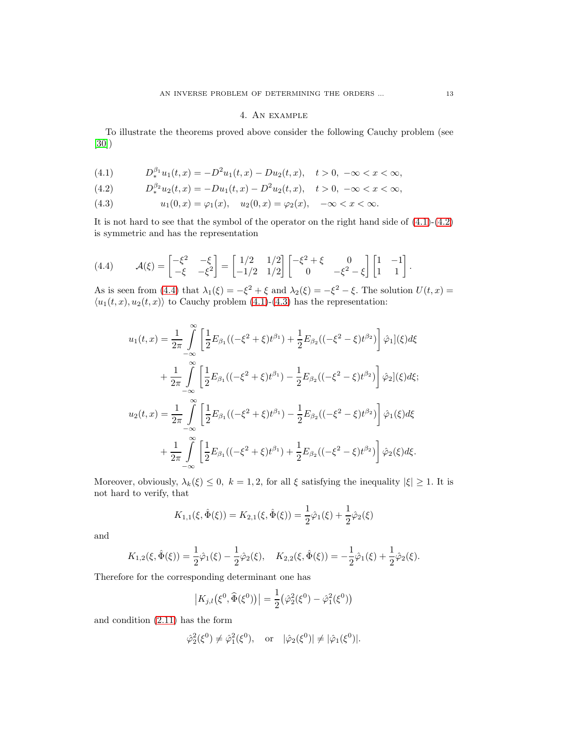# 4. An example

To illustrate the theorems proved above consider the following Cauchy problem (see [\[30\]](#page-14-11))

<span id="page-12-0"></span>(4.1) 
$$
D_{*}^{\beta_{1}}u_{1}(t,x) = -D_{*}^{2}u_{1}(t,x) - Du_{2}(t,x), \quad t > 0, -\infty < x < \infty,
$$

<span id="page-12-1"></span>(4.2) 
$$
D_*^{\beta_2}u_2(t,x) = -Du_1(t,x) - D^2u_2(t,x), \quad t > 0, \ -\infty < x < \infty,
$$

<span id="page-12-3"></span>(4.3) 
$$
u_1(0, x) = \varphi_1(x), \quad u_2(0, x) = \varphi_2(x), \quad -\infty < x < \infty.
$$

It is not hard to see that the symbol of the operator on the right hand side of  $(4.1)-(4.2)$  $(4.1)-(4.2)$ is symmetric and has the representation

<span id="page-12-2"></span>
$$
(4.4) \qquad \mathcal{A}(\xi) = \begin{bmatrix} -\xi^2 & -\xi \\ -\xi & -\xi^2 \end{bmatrix} = \begin{bmatrix} 1/2 & 1/2 \\ -1/2 & 1/2 \end{bmatrix} \begin{bmatrix} -\xi^2 + \xi & 0 \\ 0 & -\xi^2 - \xi \end{bmatrix} \begin{bmatrix} 1 & -1 \\ 1 & 1 \end{bmatrix}.
$$

As is seen from [\(4.4\)](#page-12-2) that  $\lambda_1(\xi) = -\xi^2 + \xi$  and  $\lambda_2(\xi) = -\xi^2 - \xi$ . The solution  $U(t, x) =$  $\langle u_1(t, x), u_2(t, x) \rangle$  to Cauchy problem [\(4.1\)](#page-12-0)-[\(4.3\)](#page-12-3) has the representation:

$$
u_1(t,x) = \frac{1}{2\pi} \int_{-\infty}^{\infty} \left[ \frac{1}{2} E_{\beta_1} ((-\xi^2 + \xi) t^{\beta_1}) + \frac{1}{2} E_{\beta_2} ((-\xi^2 - \xi) t^{\beta_2}) \right] \hat{\varphi}_1](\xi) d\xi
$$
  
+ 
$$
\frac{1}{2\pi} \int_{-\infty}^{\infty} \left[ \frac{1}{2} E_{\beta_1} ((-\xi^2 + \xi) t^{\beta_1}) - \frac{1}{2} E_{\beta_2} ((-\xi^2 - \xi) t^{\beta_2}) \right] \hat{\varphi}_2](\xi) d\xi;
$$
  

$$
u_2(t,x) = \frac{1}{2\pi} \int_{-\infty}^{\infty} \left[ \frac{1}{2} E_{\beta_1} ((-\xi^2 + \xi) t^{\beta_1}) - \frac{1}{2} E_{\beta_2} ((-\xi^2 - \xi) t^{\beta_2}) \right] \hat{\varphi}_1(\xi) d\xi
$$
  
+ 
$$
\frac{1}{2\pi} \int_{-\infty}^{\infty} \left[ \frac{1}{2} E_{\beta_1} ((-\xi^2 + \xi) t^{\beta_1}) + \frac{1}{2} E_{\beta_2} ((-\xi^2 - \xi) t^{\beta_2}) \right] \hat{\varphi}_2(\xi) d\xi.
$$

Moreover, obviously,  $\lambda_k(\xi) \leq 0$ ,  $k = 1, 2$ , for all  $\xi$  satisfying the inequality  $|\xi| \geq 1$ . It is not hard to verify, that

$$
K_{1,1}(\xi, \hat{\Phi}(\xi)) = K_{2,1}(\xi, \hat{\Phi}(\xi)) = \frac{1}{2}\hat{\varphi}_1(\xi) + \frac{1}{2}\hat{\varphi}_2(\xi)
$$

and

$$
K_{1,2}(\xi, \hat{\Phi}(\xi)) = \frac{1}{2}\hat{\varphi}_1(\xi) - \frac{1}{2}\hat{\varphi}_2(\xi), \quad K_{2,2}(\xi, \hat{\Phi}(\xi)) = -\frac{1}{2}\hat{\varphi}_1(\xi) + \frac{1}{2}\hat{\varphi}_2(\xi).
$$

Therefore for the corresponding determinant one has

$$
|K_{j,l}(\xi^0, \widehat{\Phi}(\xi^0))| = \frac{1}{2} (\hat{\varphi}_2^2(\xi^0) - \hat{\varphi}_1^2(\xi^0))
$$

and condition [\(2.11\)](#page-4-0) has the form

$$
\hat{\varphi}_2^2(\xi^0) \neq \hat{\varphi}_1^2(\xi^0)
$$
, or  $|\hat{\varphi}_2(\xi^0)| \neq |\hat{\varphi}_1(\xi^0)|$ .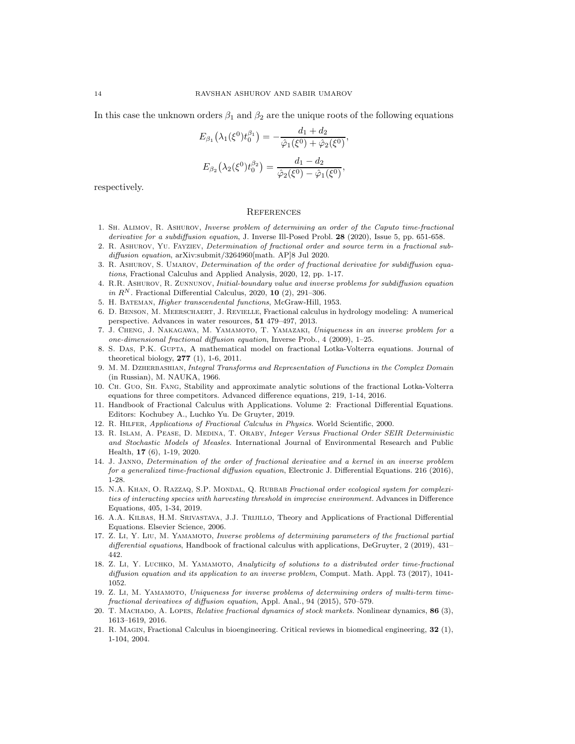In this case the unknown orders  $\beta_1$  and  $\beta_2$  are the unique roots of the following equations

$$
E_{\beta_1}(\lambda_1(\xi^0)t_0^{\beta_1}) = -\frac{d_1 + d_2}{\hat{\varphi}_1(\xi^0) + \hat{\varphi}_2(\xi^0)},
$$
  

$$
E_{\beta_2}(\lambda_2(\xi^0)t_0^{\beta_2}) = \frac{d_1 - d_2}{\hat{\varphi}_2(\xi^0) - \hat{\varphi}_1(\xi^0)},
$$

respectively.

#### **REFERENCES**

- <span id="page-13-6"></span>1. Sh. Alimov, R. Ashurov, Inverse problem of determining an order of the Caputo time-fractional derivative for a subdiffusion equation, J. Inverse Ill-Posed Probl. 28 (2020), Issue 5, pp. 651-658.
- <span id="page-13-7"></span>2. R. Ashurov, Yu. Fayziev, Determination of fractional order and source term in a fractional subdiffusion equation, arXiv:submit/3264960[math. AP]8 Jul 2020.
- <span id="page-13-8"></span>3. R. Ashurov, S. Umarov, Determination of the order of fractional derivative for subdiffusion equations, Fractional Calculus and Applied Analysis, 2020, 12, pp. 1-17.
- 4. R.R. Ashurov, R. Zunnunov, Initial-boundary value and inverse problems for subdiffusion equation in  $R^N$ . Fractional Differential Calculus, 2020, 10 (2), 291-306.
- <span id="page-13-19"></span><span id="page-13-2"></span>5. H. Bateman, Higher transcendental functions, McGraw-Hill, 1953.
- 6. D. Benson, M. Meerschaert, J. Revielle, Fractional calculus in hydrology modeling: A numerical perspective. Advances in water resources, 51 479–497, 2013.
- <span id="page-13-9"></span>7. J. Cheng, J. Nakagawa, M. Yamamoto, T. Yamazaki, Uniqueness in an inverse problem for a one-dimensional fractional diffusion equation, Inverse Prob., 4 (2009), 1–25.
- <span id="page-13-14"></span>8. S. Das, P.K. Gupta, A mathematical model on fractional Lotka-Volterra equations. Journal of theoretical biology, 277 (1), 1-6, 2011.
- <span id="page-13-18"></span>9. M. M. DZHERBASHIAN, Integral Transforms and Representation of Functions in the Complex Domain (in Russian), M. NAUKA, 1966.
- <span id="page-13-15"></span>10. Ch. Guo, Sh. Fang, Stability and approximate analytic solutions of the fractional Lotka-Volterra equations for three competitors. Advanced difference equations, 219, 1-14, 2016.
- <span id="page-13-5"></span>11. Handbook of Fractional Calculus with Applications. Volume 2: Fractional Differential Equations. Editors: Kochubey A., Luchko Yu. De Gruyter, 2019.
- <span id="page-13-17"></span><span id="page-13-0"></span>12. R. Hilfer, Applications of Fractional Calculus in Physics. World Scientific, 2000.
- 13. R. Islam, A. Pease, D. Medina, T. Oraby, Integer Versus Fractional Order SEIR Deterministic and Stochastic Models of Measles. International Journal of Environmental Research and Public Health, 17 (6), 1-19, 2020.
- <span id="page-13-10"></span>14. J. Janno, Determination of the order of fractional derivative and a kernel in an inverse problem for a generalized time-fractional diffusion equation, Electronic J. Differential Equations. 216 (2016), 1-28.
- <span id="page-13-16"></span>15. N.A. Khan, O. Razzaq, S.P. Mondal, Q. Rubbab Fractional order ecological system for complexities of interacting species with harvesting threshold in imprecise environment. Advances in Difference Equations, 405, 1-34, 2019.
- <span id="page-13-4"></span>16. A.A. KILBAS, H.M. SRIVASTAVA, J.J. TRIJILLO, Theory and Applications of Fractional Differential Equations. Elsevier Science, 2006.
- <span id="page-13-11"></span>17. Z. Li, Y. Liu, M. Yamamoto, Inverse problems of determining parameters of the fractional partial differential equations, Handbook of fractional calculus with applications, DeGruyter, 2 (2019), 431– 442.
- <span id="page-13-12"></span>18. Z. Li, Y. LUCHKO, M. YAMAMOTO, Analyticity of solutions to a distributed order time-fractional diffusion equation and its application to an inverse problem, Comput. Math. Appl. 73 (2017), 1041- 1052.
- <span id="page-13-13"></span>19. Z. Li, M. Yamamoto, Uniqueness for inverse problems of determining orders of multi-term timefractional derivatives of diffusion equation, Appl. Anal., 94 (2015), 570–579.
- <span id="page-13-1"></span>20. T. MACHADO, A. LOPES, Relative fractional dynamics of stock markets. Nonlinear dynamics, 86 (3), 1613–1619, 2016.
- <span id="page-13-3"></span>21. R. Magin, Fractional Calculus in bioengineering. Critical reviews in biomedical engineering, 32 (1), 1-104, 2004.